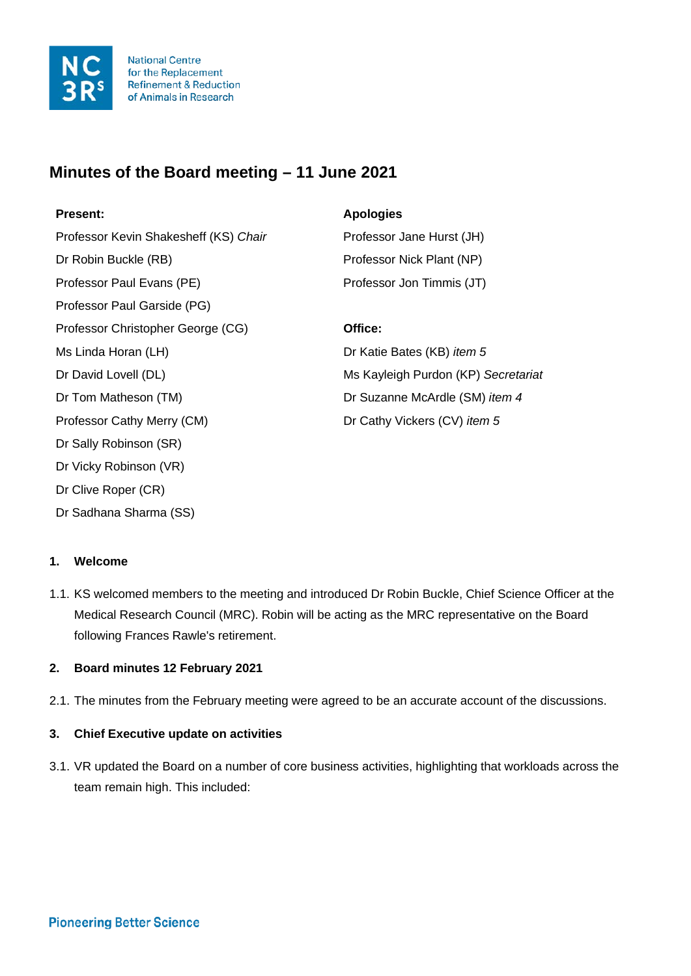

**National Centre** for the Replacement **Refinement & Reduction** of Animals in Research

# **Minutes of the Board meeting – 11 June 2021**

Professor Kevin Shakesheff (KS) Chair Professor Jane Hurst (JH) Dr Robin Buckle (RB) Professor Nick Plant (NP) Professor Paul Evans (PE) Professor Jon Timmis (JT) Professor Paul Garside (PG) Professor Christopher George (CG) **Office:** Ms Linda Horan (LH) **Dr Katie Bates (KB)** *item 5* Dr David Lovell (DL) Ms Kayleigh Purdon (KP) *Secretariat* Dr Tom Matheson (TM) Dr Suzanne McArdle (SM) *item 4* Professor Cathy Merry (CM) Dr Cathy Vickers (CV) *item 5* Dr Sally Robinson (SR) Dr Vicky Robinson (VR) Dr Clive Roper (CR) Dr Sadhana Sharma (SS)

# **Present: Apologies**

# **1. Welcome**

1.1. KS welcomed members to the meeting and introduced Dr Robin Buckle, Chief Science Officer at the Medical Research Council (MRC). Robin will be acting as the MRC representative on the Board following Frances Rawle's retirement.

# **2. Board minutes 12 February 2021**

2.1. The minutes from the February meeting were agreed to be an accurate account of the discussions.

# **3. Chief Executive update on activities**

3.1. VR updated the Board on a number of core business activities, highlighting that workloads across the team remain high. This included: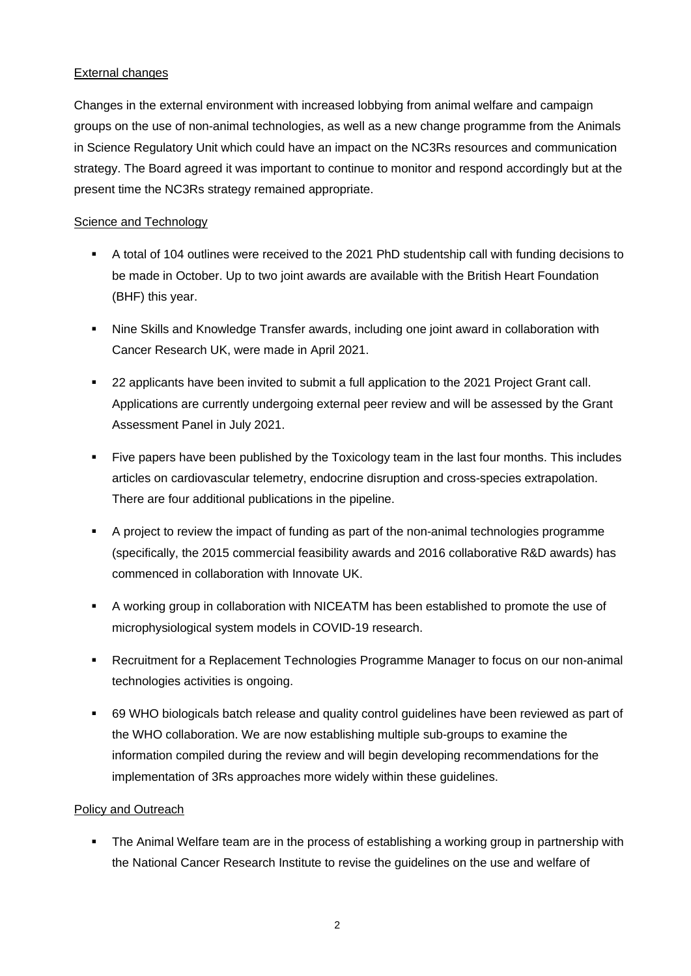# External changes

Changes in the external environment with increased lobbying from animal welfare and campaign groups on the use of non-animal technologies, as well as a new change programme from the Animals in Science Regulatory Unit which could have an impact on the NC3Rs resources and communication strategy. The Board agreed it was important to continue to monitor and respond accordingly but at the present time the NC3Rs strategy remained appropriate.

# Science and Technology

- A total of 104 outlines were received to the 2021 PhD studentship call with funding decisions to be made in October. Up to two joint awards are available with the British Heart Foundation (BHF) this year.
- Nine Skills and Knowledge Transfer awards, including one joint award in collaboration with Cancer Research UK, were made in April 2021.
- 22 applicants have been invited to submit a full application to the 2021 Project Grant call. Applications are currently undergoing external peer review and will be assessed by the Grant Assessment Panel in July 2021.
- Five papers have been published by the Toxicology team in the last four months. This includes articles on cardiovascular telemetry, endocrine disruption and cross-species extrapolation. There are four additional publications in the pipeline.
- A project to review the impact of funding as part of the non-animal technologies programme (specifically, the 2015 commercial feasibility awards and 2016 collaborative R&D awards) has commenced in collaboration with Innovate UK.
- A working group in collaboration with NICEATM has been established to promote the use of microphysiological system models in COVID-19 research.
- Recruitment for a Replacement Technologies Programme Manager to focus on our non-animal technologies activities is ongoing.
- 69 WHO biologicals batch release and quality control guidelines have been reviewed as part of the WHO collaboration. We are now establishing multiple sub-groups to examine the information compiled during the review and will begin developing recommendations for the implementation of 3Rs approaches more widely within these guidelines.

# Policy and Outreach

 The Animal Welfare team are in the process of establishing a working group in partnership with the National Cancer Research Institute to revise the guidelines on the use and welfare of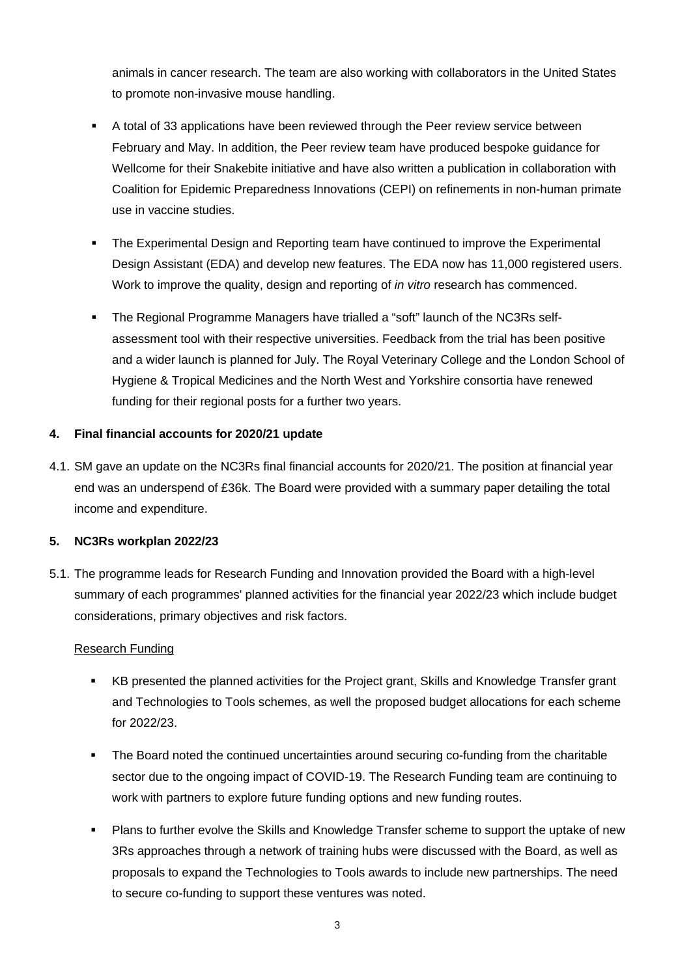animals in cancer research. The team are also working with collaborators in the United States to promote non-invasive mouse handling.

- A total of 33 applications have been reviewed through the Peer review service between February and May. In addition, the Peer review team have produced bespoke guidance for Wellcome for their Snakebite initiative and have also written a publication in collaboration with Coalition for Epidemic Preparedness Innovations (CEPI) on refinements in non-human primate use in vaccine studies.
- The Experimental Design and Reporting team have continued to improve the Experimental Design Assistant (EDA) and develop new features. The EDA now has 11,000 registered users. Work to improve the quality, design and reporting of *in vitro* research has commenced.
- The Regional Programme Managers have trialled a "soft" launch of the NC3Rs selfassessment tool with their respective universities. Feedback from the trial has been positive and a wider launch is planned for July. The Royal Veterinary College and the London School of Hygiene & Tropical Medicines and the North West and Yorkshire consortia have renewed funding for their regional posts for a further two years.

# **4. Final financial accounts for 2020/21 update**

4.1. SM gave an update on the NC3Rs final financial accounts for 2020/21. The position at financial year end was an underspend of £36k. The Board were provided with a summary paper detailing the total income and expenditure.

# **5. NC3Rs workplan 2022/23**

5.1. The programme leads for Research Funding and Innovation provided the Board with a high-level summary of each programmes' planned activities for the financial year 2022/23 which include budget considerations, primary objectives and risk factors.

# Research Funding

- KB presented the planned activities for the Project grant, Skills and Knowledge Transfer grant and Technologies to Tools schemes, as well the proposed budget allocations for each scheme for 2022/23.
- The Board noted the continued uncertainties around securing co-funding from the charitable sector due to the ongoing impact of COVID-19. The Research Funding team are continuing to work with partners to explore future funding options and new funding routes.
- Plans to further evolve the Skills and Knowledge Transfer scheme to support the uptake of new 3Rs approaches through a network of training hubs were discussed with the Board, as well as proposals to expand the Technologies to Tools awards to include new partnerships. The need to secure co-funding to support these ventures was noted.